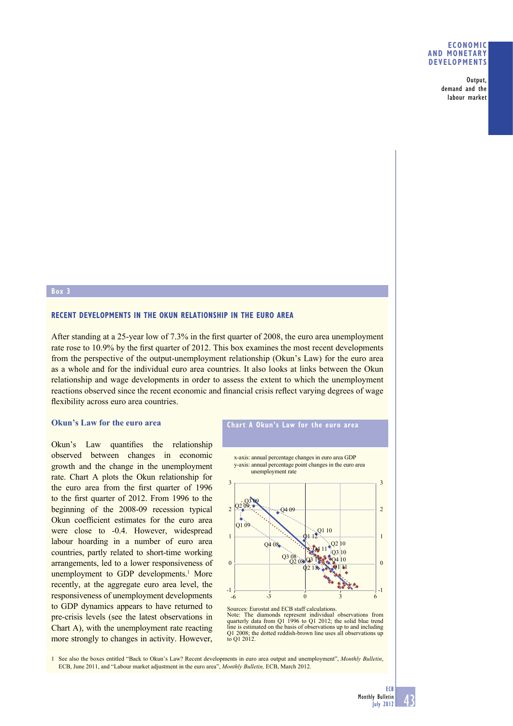### **ECONOMIC AND MONETARY DEVELOPMENTS**

Output, demand and the labour market

### **Box 3**

# **RECENT DEVELOPMENTS IN THE OKUN RELATIONSHIP IN THE EURO AREA**

After standing at a 25-year low of 7.3% in the first quarter of 2008, the euro area unemployment rate rose to 10.9% by the first quarter of 2012. This box examines the most recent developments from the perspective of the output-unemployment relationship (Okun's Law) for the euro area as a whole and for the individual euro area countries. It also looks at links between the Okun relationship and wage developments in order to assess the extent to which the unemployment reactions observed since the recent economic and financial crisis reflect varying degrees of wage flexibility across euro area countries.

### **Okun's Law for the euro area**

Okun's Law quantifies the relationship observed between changes in economic growth and the change in the unemployment rate. Chart A plots the Okun relationship for the euro area from the first quarter of 1996 to the first quarter of 2012. From 1996 to the beginning of the 2008-09 recession typical Okun coefficient estimates for the euro area were close to -0.4. However, widespread labour hoarding in a number of euro area countries, partly related to short-time working arrangements, led to a lower responsiveness of unemployment to GDP developments.<sup>1</sup> More recently, at the aggregate euro area level, the responsiveness of unemployment developments to GDP dynamics appears to have returned to pre-crisis levels (see the latest observations in Chart A), with the unemployment rate reacting more strongly to changes in activity. However,

# **Chart A Okun's Law for the euro area**

x-axis: annual percentage changes in euro area GDP y-axis: annual percentage point changes in the euro area



Sources: Eurostat and ECB staff calculations. Note: The diamonds represent individual observations from quarterly data from Q1 1996 to Q1 2012; the solid blue trend line is estimated on the basis of observations up to and including Q1 2008; the dotted reddish-brown line uses all observations up to Q1 2012.

1 See also the boxes entitled "Back to Okun's Law? Recent developments in euro area output and unemployment", *Monthly Bulletin*, ECB, June 2011, and "Labour market adjustment in the euro area", *Monthly Bulletin,* ECB, March 2012.

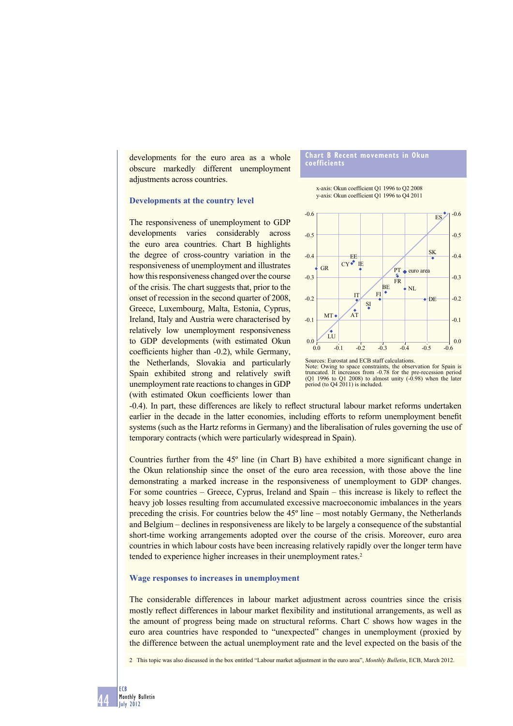developments for the euro area as a whole obscure markedly different unemployment adjustments across countries.

### **Developments at the country level**

The responsiveness of unemployment to GDP developments varies considerably across the euro area countries. Chart B highlights the degree of cross-country variation in the responsiveness of unemployment and illustrates how this responsiveness changed over the course of the crisis. The chart suggests that, prior to the onset of recession in the second quarter of 2008, Greece, Luxembourg, Malta, Estonia, Cyprus, Ireland, Italy and Austria were characterised by relatively low unemployment responsiveness to GDP developments (with estimated Okun coefficients higher than -0.2), while Germany, the Netherlands, Slovakia and particularly Spain exhibited strong and relatively swift unemployment rate reactions to changes in GDP (with estimated Okun coefficients lower than

#### **Chart B Recent movements in Okun coefficients**

x-axis: Okun coefficient Q1 1996 to Q2 2008 y-axis: Okun coefficient Q1 1996 to Q4 2011



Note: Owing to space constraints, the observation for Spain is truncated. It increases from -0.78 for the pre-recession period (Q1 1996 to Q1 2008) to almost unity (-0.98) when the later period (to Q4 2011) is included.

-0.4). In part, these differences are likely to reflect structural labour market reforms undertaken earlier in the decade in the latter economies, including efforts to reform unemployment benefit systems (such as the Hartz reforms in Germany) and the liberalisation of rules governing the use of temporary contracts (which were particularly widespread in Spain).

Countries further from the  $45^\circ$  line (in Chart B) have exhibited a more significant change in the Okun relationship since the onset of the euro area recession, with those above the line demonstrating a marked increase in the responsiveness of unemployment to GDP changes. For some countries – Greece, Cyprus, Ireland and Spain – this increase is likely to reflect the heavy job losses resulting from accumulated excessive macroeconomic imbalances in the years preceding the crisis. For countries below the 45º line – most notably Germany, the Netherlands and Belgium – declines in responsiveness are likely to be largely a consequence of the substantial short-time working arrangements adopted over the course of the crisis. Moreover, euro area countries in which labour costs have been increasing relatively rapidly over the longer term have tended to experience higher increases in their unemployment rates.<sup>2</sup>

#### **Wage responses to increases in unemployment**

The considerable differences in labour market adjustment across countries since the crisis mostly reflect differences in labour market flexibility and institutional arrangements, as well as the amount of progress being made on structural reforms. Chart C shows how wages in the euro area countries have responded to "unexpected" changes in unemployment (proxied by the difference between the actual unemployment rate and the level expected on the basis of the

2 This topic was also discussed in the box entitled "Labour market adjustment in the euro area", *Monthly Bulletin*, ECB, March 2012.